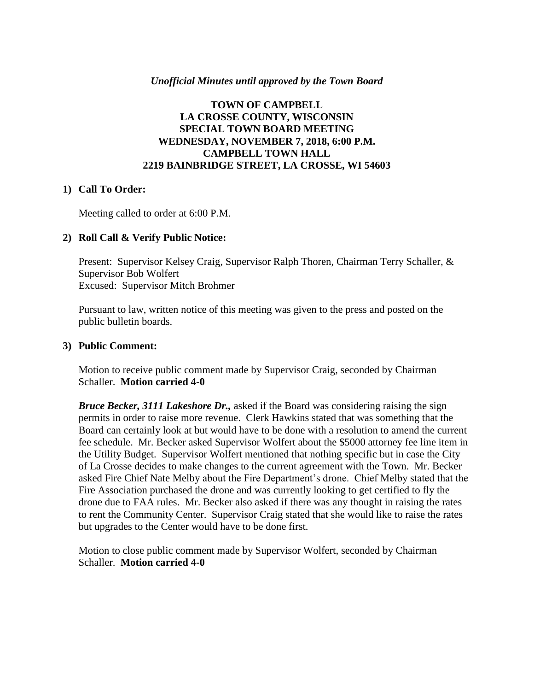### *Unofficial Minutes until approved by the Town Board*

### **TOWN OF CAMPBELL LA CROSSE COUNTY, WISCONSIN SPECIAL TOWN BOARD MEETING WEDNESDAY, NOVEMBER 7, 2018, 6:00 P.M. CAMPBELL TOWN HALL 2219 BAINBRIDGE STREET, LA CROSSE, WI 54603**

#### **1) Call To Order:**

Meeting called to order at 6:00 P.M.

#### **2) Roll Call & Verify Public Notice:**

Present: Supervisor Kelsey Craig, Supervisor Ralph Thoren, Chairman Terry Schaller, & Supervisor Bob Wolfert Excused: Supervisor Mitch Brohmer

Pursuant to law, written notice of this meeting was given to the press and posted on the public bulletin boards.

#### **3) Public Comment:**

Motion to receive public comment made by Supervisor Craig, seconded by Chairman Schaller. **Motion carried 4-0**

*Bruce Becker, 3111 Lakeshore Dr.,* asked if the Board was considering raising the sign permits in order to raise more revenue. Clerk Hawkins stated that was something that the Board can certainly look at but would have to be done with a resolution to amend the current fee schedule. Mr. Becker asked Supervisor Wolfert about the \$5000 attorney fee line item in the Utility Budget. Supervisor Wolfert mentioned that nothing specific but in case the City of La Crosse decides to make changes to the current agreement with the Town. Mr. Becker asked Fire Chief Nate Melby about the Fire Department's drone. Chief Melby stated that the Fire Association purchased the drone and was currently looking to get certified to fly the drone due to FAA rules. Mr. Becker also asked if there was any thought in raising the rates to rent the Community Center. Supervisor Craig stated that she would like to raise the rates but upgrades to the Center would have to be done first.

Motion to close public comment made by Supervisor Wolfert, seconded by Chairman Schaller. **Motion carried 4-0**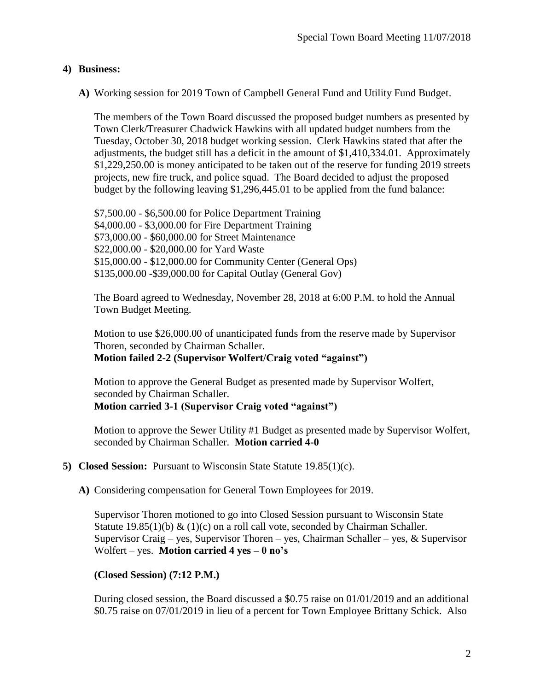# **4) Business:**

**A)** Working session for 2019 Town of Campbell General Fund and Utility Fund Budget.

The members of the Town Board discussed the proposed budget numbers as presented by Town Clerk/Treasurer Chadwick Hawkins with all updated budget numbers from the Tuesday, October 30, 2018 budget working session. Clerk Hawkins stated that after the adjustments, the budget still has a deficit in the amount of \$1,410,334.01. Approximately \$1,229,250.00 is money anticipated to be taken out of the reserve for funding 2019 streets projects, new fire truck, and police squad. The Board decided to adjust the proposed budget by the following leaving \$1,296,445.01 to be applied from the fund balance:

\$7,500.00 - \$6,500.00 for Police Department Training \$4,000.00 - \$3,000.00 for Fire Department Training \$73,000.00 - \$60,000.00 for Street Maintenance \$22,000.00 - \$20,000.00 for Yard Waste \$15,000.00 - \$12,000.00 for Community Center (General Ops) \$135,000.00 -\$39,000.00 for Capital Outlay (General Gov)

The Board agreed to Wednesday, November 28, 2018 at 6:00 P.M. to hold the Annual Town Budget Meeting.

Motion to use \$26,000.00 of unanticipated funds from the reserve made by Supervisor Thoren, seconded by Chairman Schaller. **Motion failed 2-2 (Supervisor Wolfert/Craig voted "against")**

Motion to approve the General Budget as presented made by Supervisor Wolfert, seconded by Chairman Schaller. **Motion carried 3-1 (Supervisor Craig voted "against")** 

Motion to approve the Sewer Utility #1 Budget as presented made by Supervisor Wolfert, seconded by Chairman Schaller. **Motion carried 4-0**

- **5) Closed Session:** Pursuant to Wisconsin State Statute 19.85(1)(c).
	- **A)** Considering compensation for General Town Employees for 2019.

Supervisor Thoren motioned to go into Closed Session pursuant to Wisconsin State Statute 19.85(1)(b) & (1)(c) on a roll call vote, seconded by Chairman Schaller. Supervisor Craig – yes, Supervisor Thoren – yes, Chairman Schaller – yes, & Supervisor Wolfert – yes. **Motion carried 4 yes – 0 no's**

# **(Closed Session) (7:12 P.M.)**

During closed session, the Board discussed a \$0.75 raise on 01/01/2019 and an additional \$0.75 raise on 07/01/2019 in lieu of a percent for Town Employee Brittany Schick. Also